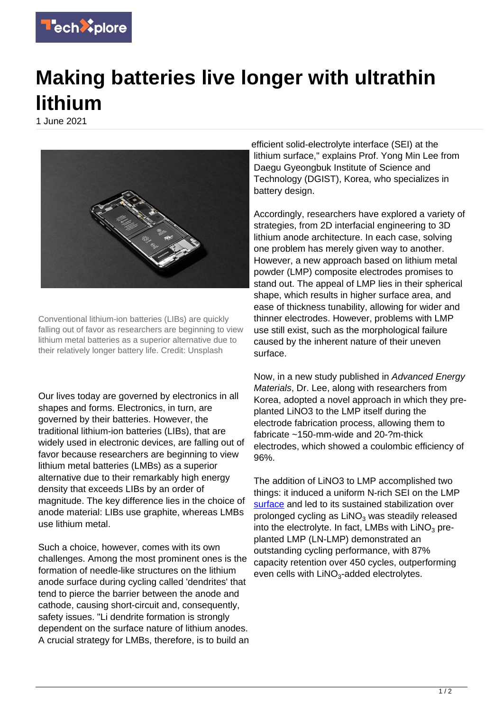

## **Making batteries live longer with ultrathin lithium**

1 June 2021



Conventional lithium-ion batteries (LIBs) are quickly falling out of favor as researchers are beginning to view lithium metal batteries as a superior alternative due to their relatively longer battery life. Credit: Unsplash

Our lives today are governed by electronics in all shapes and forms. Electronics, in turn, are governed by their batteries. However, the traditional lithium-ion batteries (LIBs), that are widely used in electronic devices, are falling out of favor because researchers are beginning to view lithium metal batteries (LMBs) as a superior alternative due to their remarkably high energy density that exceeds LIBs by an order of magnitude. The key difference lies in the choice of anode material: LIBs use graphite, whereas LMBs use lithium metal.

Such a choice, however, comes with its own challenges. Among the most prominent ones is the formation of needle-like structures on the lithium anode surface during cycling called 'dendrites' that tend to pierce the barrier between the anode and cathode, causing short-circuit and, consequently, safety issues. "Li dendrite formation is strongly dependent on the surface nature of lithium anodes. A crucial strategy for LMBs, therefore, is to build an

efficient solid-electrolyte interface (SEI) at the lithium surface," explains Prof. Yong Min Lee from Daegu Gyeongbuk Institute of Science and Technology (DGIST), Korea, who specializes in battery design.

Accordingly, researchers have explored a variety of strategies, from 2D interfacial engineering to 3D lithium anode architecture. In each case, solving one problem has merely given way to another. However, a new approach based on lithium metal powder (LMP) composite electrodes promises to stand out. The appeal of LMP lies in their spherical shape, which results in higher surface area, and ease of thickness tunability, allowing for wider and thinner electrodes. However, problems with LMP use still exist, such as the morphological failure caused by the inherent nature of their uneven surface.

Now, in a new study published in Advanced Energy Materials, Dr. Lee, along with researchers from Korea, adopted a novel approach in which they preplanted LiNO3 to the LMP itself during the electrode fabrication process, allowing them to fabricate ~150-mm-wide and 20-?m-thick electrodes, which showed a coulombic efficiency of 96%.

The addition of LiNO3 to LMP accomplished two things: it induced a uniform N-rich SEI on the LMP [surface](https://techxplore.com/tags/surface/) and led to its sustained stabilization over prolonged cycling as  $\mathsf{LiNO}_3$  was steadily released into the electrolyte. In fact, LMBs with  $LiNO<sub>3</sub>$  preplanted LMP (LN-LMP) demonstrated an outstanding cycling performance, with 87% capacity retention over 450 cycles, outperforming even cells with LiNO<sub>3</sub>-added electrolytes.